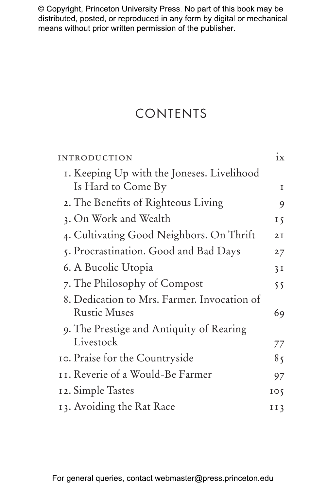# CONTENTS

| <b>INTRODUCTION</b>                         | 1X              |
|---------------------------------------------|-----------------|
| I. Keeping Up with the Joneses. Livelihood  |                 |
| Is Hard to Come By                          | T               |
| 2. The Benefits of Righteous Living         | 9               |
| 3. On Work and Wealth                       | 15              |
| 4. Cultivating Good Neighbors. On Thrift    | 2I              |
| 5. Procrastination. Good and Bad Days       | 27              |
| 6. A Bucolic Utopia                         | 3I              |
| 7. The Philosophy of Compost                | 55              |
| 8. Dedication to Mrs. Farmer. Invocation of |                 |
| <b>Rustic Muses</b>                         | 69              |
| 9. The Prestige and Antiquity of Rearing    |                 |
| Livestock                                   | 77              |
| 10. Praise for the Countryside              | 85              |
| 11. Reverie of a Would-Be Farmer            | 97              |
| 12. Simple Tastes                           | $I \circ \zeta$ |
| 13. Avoiding the Rat Race                   | II3             |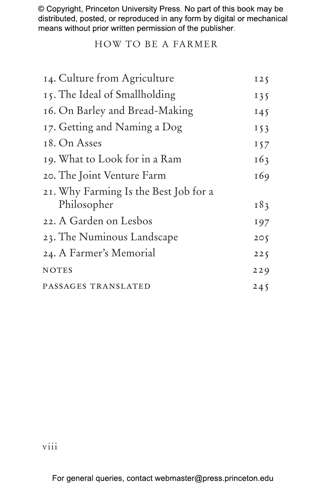### HOW TO BE A FARMER

| 14. Culture from Agriculture                         | 125   |
|------------------------------------------------------|-------|
| 15. The Ideal of Smallholding                        | 135   |
| 16. On Barley and Bread-Making                       | 145   |
| 17. Getting and Naming a Dog                         | 153   |
| 18. On Asses                                         | 157   |
| 19. What to Look for in a Ram                        | 163   |
| 20. The Joint Venture Farm                           | 169   |
| 21. Why Farming Is the Best Job for a<br>Philosopher | I 8 3 |
| 22. A Garden on Lesbos                               | 197   |
| 23. The Numinous Landscape                           | 205   |
| 24. A Farmer's Memorial                              | 225   |
| <b>NOTES</b>                                         | 229   |
| PASSAGES TRANSLATED                                  | 245   |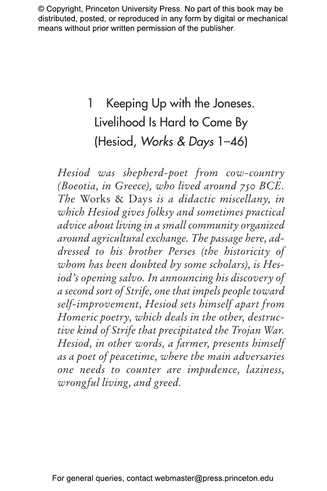# 1 Keeping Up with the Joneses. Livelihood Is Hard to Come By (Hesiod, *Works & Days* 1–46)

*Hesiod was shepherd-poet from cow-country (Boeotia, in Greece), who lived around 750 BCE. The* Works & Days *is a didactic miscellany, in which Hesiod gives folksy and sometimes practical advice about living in a small community organized around agricultural exchange. The passage here, addressed to his brother Perses (the historicity of whom has been doubted by some scholars), is Hesiod's opening salvo. In announcing his discovery of a second sort of Strife, one that impels people toward self-improvement, Hesiod sets himself apart from Homeric poetry, which deals in the other, destructive kind of Strife that precipitated the Trojan War. Hesiod, in other words, a farmer, presents himself as a poet of peacetime, where the main adversaries one needs to counter are impudence, laziness, wrongful living, and greed.*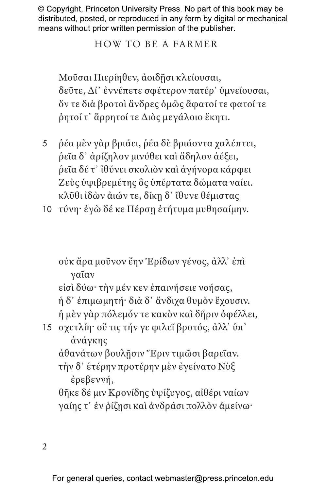$\mathfrak{D}$ 

τὴν δ᾽ ἑτέρην προτέρην μὲν ἐγείνατο Νὺξ ἐρεβεννή, θῆκε δέ μιν Κρονίδης ὑψίζυγος, αἰθέρι ναίων γαίης τ᾽ ἐν ῥίζῃσι καὶ ἀνδράσι πολλὸν ἀμείνω·

εἰσὶ δύω· τὴν μέν κεν ἐπαινήσειε νοήσας, ἡ δ᾽ ἐπιμωμητή· διὰ δ᾽ ἄνδιχα θυμὸν ἔχουσιν. ἡ μὲν γὰρ πόλεμόν τε κακὸν καὶ δῆριν ὀφέλλει, 15 σχετλίη· οὔ τις τήν γε φιλεῖ βροτός, ἀλλ᾽ ὑπ᾽ ἀνάγκης

ἀθανάτων βουλῇσιν Ἔριν τιμῶσι βαρεῖαν.

οὐκ ἄρα μοῦνον ἔην Ἐρίδων γένος, ἀλλ᾽ ἐπὶ γαῖαν

- Ζεὺς ὑψιβρεμέτης ὃς ὑπέρτατα δώματα ναίει. κλῦθι ἰδὼν ἀιών τε, δίκῃ δ᾽ ἴθυνε θέμιστας 10 τύνη· ἐγὼ δέ κε Πέρσῃ ἐτήτυμα μυθησαίμην.
- ῥητοί τ᾽ ἄρρητοί τε Διὸς μεγάλοιο ἕκητι. 5 ῥέα μὲν γὰρ βριάει, ῥέα δὲ βριάοντα χαλέπτει, ῥεῖα δ᾽ ἀρίζηλον μινύθει καὶ ἄδηλον ἀέξει,

ῥεῖα δέ τ᾽ ἰθύνει σκολιὸν καὶ ἀγήνορα κάρφει

Μοῦσαι Πιερίηθεν, ἀοιδῇσι κλείουσαι, δεῦτε, Δί᾽ ἐννέπετε σφέτερον πατέρ᾽ ὑμνείουσαι, ὅν τε διὰ βροτοὶ ἄνδρες ὁμῶς ἄφατοί τε φατοί τε

# HOW TO BE A FARMER

© Copyright, Princeton University Press. No part of this book may be distributed, posted, or reproduced in any form by digital or mechanical means without prior written permission of the publisher.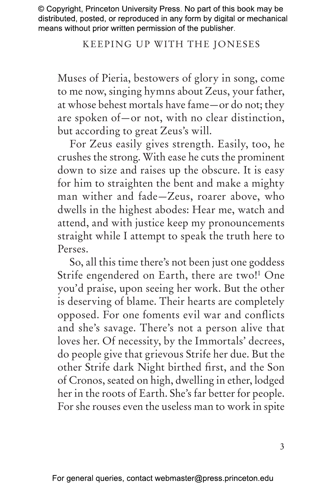## Keeping Up with the Joneses

Muses of Pieria, bestowers of glory in song, come to me now, singing hymns about Zeus, your father, at whose behest mortals have fame—or do not; they are spoken of—or not, with no clear distinction, but according to great Zeus's will.

For Zeus easily gives strength. Easily, too, he crushes the strong. With ease he cuts the prominent down to size and raises up the obscure. It is easy for him to straighten the bent and make a mighty man wither and fade—Zeus, roarer above, who dwells in the highest abodes: Hear me, watch and attend, and with justice keep my pronouncements straight while I attempt to speak the truth here to Perses.

So, all this time there's not been just one goddess Strife engendered on Earth, there are two!<sup>1</sup> One you'd praise, upon seeing her work. But the other is deserving of blame. Their hearts are completely opposed. For one foments evil war and conflicts and she's savage. There's not a person alive that loves her. Of necessity, by the Immortals' decrees, do people give that grievous Strife her due. But the other Strife dark Night birthed first, and the Son of Cronos, seated on high, dwelling in ether, lodged her in the roots of Earth. She's far better for people. For she rouses even the useless man to work in spite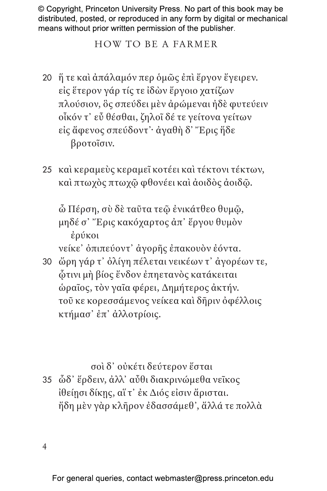#### HOW TO BE A FARMER

- 20 ἥ τε καὶ ἀπάλαμόν περ ὁμῶς ἐπὶ ἔργον ἔγειρεν. εἰς ἕτερον γάρ τίς τε ἰδὼν ἔργοιο χατίζων πλούσιον, ὃς σπεύδει μὲν ἀρώμεναι ἠδὲ φυτεύειν οἶκόν τ᾽ εὖ θέσθαι, ζηλοῖ δέ τε γείτονα γείτων εἰς ἄφενος σπεύδοντ᾽· ἀγαθὴ δ' Ἔρις ἥδε βροτοῖσιν.
- 25 καὶ κεραμεὺς κεραμεῖ κοτέει καὶ τέκτονι τέκτων, καὶ πτωχὸς πτωχῷ φθονέει καὶ ἀοιδὸς ἀοιδῷ.

ὦ Πέρση, σὺ δὲ ταῦτα τεῷ ἐνικάτθεο θυμῷ, μηδέ σ᾽ Ἔρις κακόχαρτος ἀπ᾽ ἔργου θυμὸν ἐρύκοι

νείκε᾽ ὀπιπεύοντ᾽ ἀγορῆς ἐπακουὸν ἐόντα.

30 ὤρη γάρ τ᾽ ὀλίγη πέλεται νεικέων τ᾽ ἀγορέων τε, ᾧτινι μὴ βίος ἔνδον ἐπηετανὸς κατάκειται ὡραῖος, τὸν γαῖα φέρει, Δημήτερος ἀκτήν. τοῦ κε κορεσσάμενος νείκεα καὶ δῆριν ὀφέλλοις κτήμασ᾽ ἐπ᾽ ἀλλοτρίοις.

σοὶ δ᾽ οὐκέτι δεύτερον ἔσται

35 ὧδ᾽ ἔρδειν, ἀλλ᾽ αὖθι διακρινώμεθα νεῖκος ἰθείῃσι δίκῃς, αἵ τ᾽ ἐκ Διός εἰσιν ἄρισται. ἤδη μὲν γὰρ κλῆρον ἐδασσάμεθ᾽, ἄλλά τε πολλὰ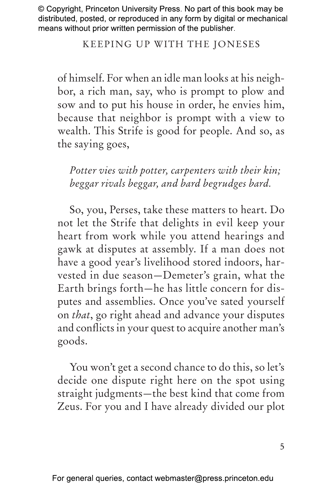### Keeping Up with the Joneses

of himself. For when an idle man looks at his neighbor, a rich man, say, who is prompt to plow and sow and to put his house in order, he envies him, because that neighbor is prompt with a view to wealth. This Strife is good for people. And so, as the saying goes,

*Potter vies with potter, carpenters with their kin; beggar rivals beggar, and bard begrudges bard.*

So, you, Perses, take these matters to heart. Do not let the Strife that delights in evil keep your heart from work while you attend hearings and gawk at disputes at assembly. If a man does not have a good year's livelihood stored indoors, harvested in due season—Demeter's grain, what the Earth brings forth—he has little concern for disputes and assemblies. Once you've sated yourself on *that*, go right ahead and advance your disputes and conflicts in your quest to acquire another man's goods.

You won't get a second chance to do this, so let's decide one dispute right here on the spot using straight judgments—the best kind that come from Zeus. For you and I have already divided our plot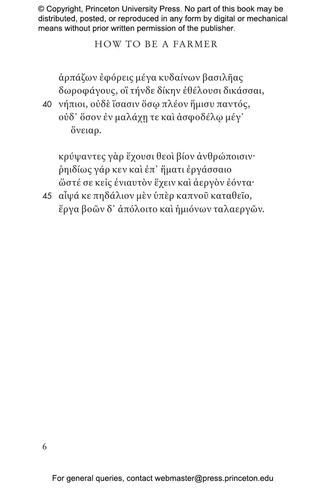#### HOW TO BE A FARMER

ἁρπάζων ἐφόρεις μέγα κυδαίνων βασιλῆας δωροφάγους, οἳ τήνδε δίκην ἐθέλουσι δικάσσαι,

40 νήπιοι, οὐδὲ ἴσασιν ὅσῳ πλέον ἥμισυ παντός, οὐδ᾽ ὅσον ἐν μαλάχῃ τε καὶ ἀσφοδέλῳ μέγ᾽ ὄνειαρ.

κρύψαντες γὰρ ἔχουσι θεοὶ βίον ἀνθρώποισιν· ῥηιδίως γάρ κεν καὶ ἐπ᾽ ἤματι ἐργάσσαιο ὥστέ σε κεἰς ἐνιαυτὸν ἔχειν καὶ ἀεργὸν ἐόντα·

45 αἶψά κε πηδάλιον μὲν ὑπὲρ καπνοῦ καταθεῖο, ἔργα βοῶν δ᾽ ἀπόλοιτο καὶ ἡμιόνων ταλαεργῶν.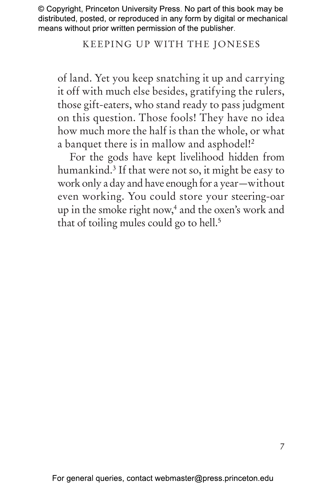#### Keeping Up with the Joneses

of land. Yet you keep snatching it up and carrying it off with much else besides, gratifying the rulers, those gift-eaters, who stand ready to pass judgment on this question. Those fools! They have no idea how much more the half is than the whole, or what a banquet there is in mallow and asphodel!<sup>2</sup>

For the gods have kept livelihood hidden from humankind.3 If that were not so, it might be easy to work only a day and have enough for a year—without even working. You could store your steering-oar up in the smoke right now,<sup>4</sup> and the oxen's work and that of toiling mules could go to hell.<sup>5</sup>